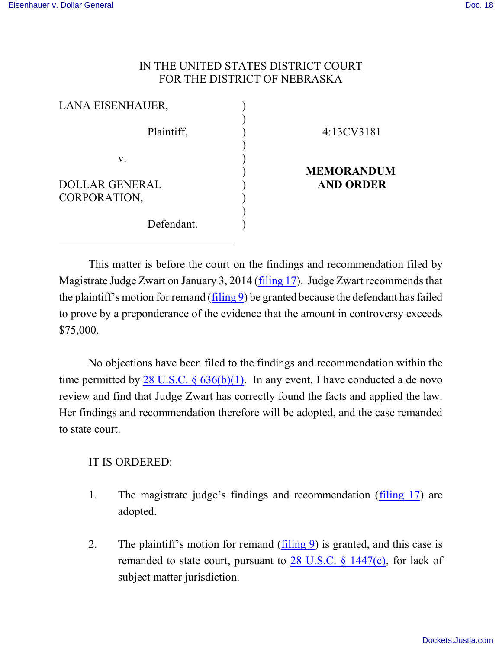## IN THE UNITED STATES DISTRICT COURT FOR THE DISTRICT OF NEBRASKA

| LANA EISENHAUER,      |                   |
|-----------------------|-------------------|
| Plaintiff,            | 4:13CV3181        |
| V.                    | <b>MEMORANDUM</b> |
| <b>DOLLAR GENERAL</b> | <b>AND ORDER</b>  |
| CORPORATION,          |                   |
| Defendant.            |                   |

This matter is before the court on the findings and recommendation filed by Magistrate Judge Zwart on January 3, 2014 [\(filing 17](https://ecf.ned.uscourts.gov/doc1/11312936538)). Judge Zwart recommends that the plaintiff's motion for remand ([filing 9](https://ecf.ned.uscourts.gov/doc1/11302898700)) be granted because the defendant has failed to prove by a preponderance of the evidence that the amount in controversy exceeds \$75,000.

No objections have been filed to the findings and recommendation within the time permitted by 28 U.S.C.  $\frac{636(b)(1)}{1}$ . In any event, I have conducted a de novo review and find that Judge Zwart has correctly found the facts and applied the law. Her findings and recommendation therefore will be adopted, and the case remanded to state court.

## IT IS ORDERED:

- 1. The magistrate judge's findings and recommendation [\(filing 17](https://ecf.ned.uscourts.gov/doc1/11312936538)) are adopted.
- 2. The plaintiff's motion for remand [\(filing 9](https://ecf.ned.uscourts.gov/doc1/11302898700)) is granted, and this case is remanded to state court, pursuant to [28 U.S.C. § 1447\(c\)](http://web2.westlaw.com/find/default.wl?cite=28+usc+1447&rs=WLW14.01&vr=2.0&rp=%2ffind%2fdefault.wl&sv=Split&fn=_top&mt=Westlaw), for lack of subject matter jurisdiction.